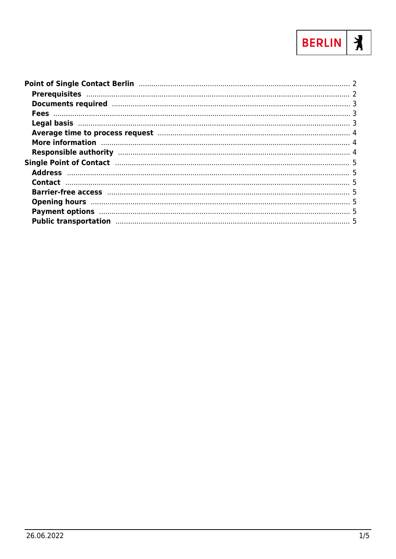

| Average time to process request manufacture and a 4                                                                                                                                                                            |  |
|--------------------------------------------------------------------------------------------------------------------------------------------------------------------------------------------------------------------------------|--|
| More information manufactured and the contract of the contract of the contract of the contract of the contract of the contract of the contract of the contract of the contract of the contract of the contract of the contract |  |
|                                                                                                                                                                                                                                |  |
|                                                                                                                                                                                                                                |  |
|                                                                                                                                                                                                                                |  |
|                                                                                                                                                                                                                                |  |
|                                                                                                                                                                                                                                |  |
|                                                                                                                                                                                                                                |  |
|                                                                                                                                                                                                                                |  |
| Public transportation manufactured and the state of the state of the state of the state of the state of the state of the state of the state of the state of the state of the state of the state of the state of the state of t |  |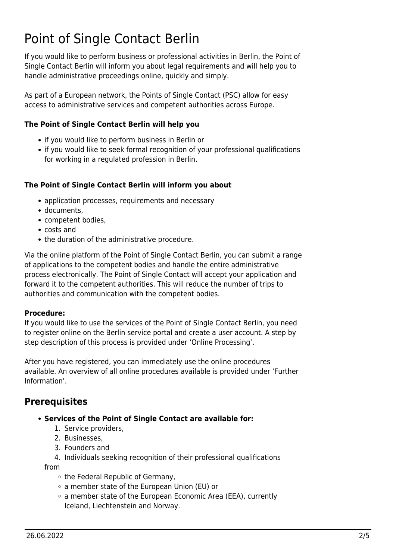# <span id="page-1-0"></span>Point of Single Contact Berlin

If you would like to perform business or professional activities in Berlin, the Point of Single Contact Berlin will inform you about legal requirements and will help you to handle administrative proceedings online, quickly and simply.

As part of a European network, the Points of Single Contact (PSC) allow for easy access to administrative services and competent authorities across Europe.

#### **The Point of Single Contact Berlin will help you**

- if you would like to perform business in Berlin or
- if you would like to seek formal recognition of your professional qualifications for working in a regulated profession in Berlin.

### **The Point of Single Contact Berlin will inform you about**

- application processes, requirements and necessary
- documents,
- competent bodies.
- costs and
- the duration of the administrative procedure.

Via the online platform of the Point of Single Contact Berlin, you can submit a range of applications to the competent bodies and handle the entire administrative process electronically. The Point of Single Contact will accept your application and forward it to the competent authorities. This will reduce the number of trips to authorities and communication with the competent bodies.

#### **Procedure:**

If you would like to use the services of the Point of Single Contact Berlin, you need to register online on the Berlin service portal and create a user account. A step by step description of this process is provided under 'Online Processing'.

After you have registered, you can immediately use the online procedures available. An overview of all online procedures available is provided under 'Further Information'.

## <span id="page-1-1"></span>**Prerequisites**

- **Services of the Point of Single Contact are available for:**
	- 1. Service providers,
	- 2. Businesses,
	- 3. Founders and
	- 4. Individuals seeking recognition of their professional qualifications

from

- the Federal Republic of Germany,
- a member state of the European Union (EU) or
- o a member state of the European Economic Area (EEA), currently Iceland, Liechtenstein and Norway.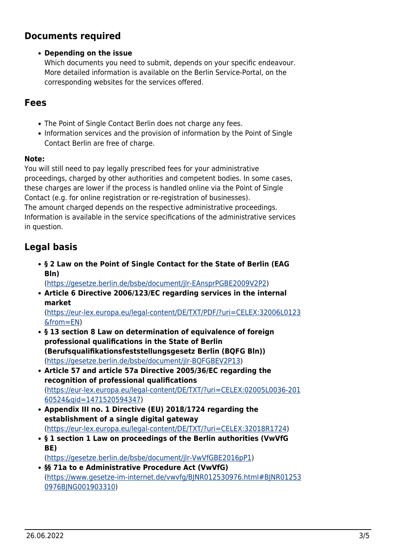# <span id="page-2-0"></span>**Documents required**

#### **Depending on the issue**

Which documents you need to submit, depends on your specific endeavour. More detailed information is available on the Berlin Service-Portal, on the corresponding websites for the services offered.

## <span id="page-2-1"></span>**Fees**

- The Point of Single Contact Berlin does not charge any fees.
- Information services and the provision of information by the Point of Single Contact Berlin are free of charge.

#### **Note:**

You will still need to pay legally prescribed fees for your administrative proceedings, charged by other authorities and competent bodies. In some cases, these charges are lower if the process is handled online via the Point of Single Contact (e.g. for online registration or re-registration of businesses). The amount charged depends on the respective administrative proceedings. Information is available in the service specifications of the administrative services in question.

## <span id="page-2-2"></span>**Legal basis**

**§ 2 Law on the Point of Single Contact for the State of Berlin (EAG Bln)**

([https://gesetze.berlin.de/bsbe/document/jlr-EAnsprPGBE2009V2P2\)](https://gesetze.berlin.de/bsbe/document/jlr-EAnsprPGBE2009V2P2)

**Article 6 Directive 2006/123/EC regarding services in the internal market**

([https://eur-lex.europa.eu/legal-content/DE/TXT/PDF/?uri=CELEX:32006L0123](https://eur-lex.europa.eu/legal-content/DE/TXT/PDF/?uri=CELEX:32006L0123&from=EN) [&from=EN\)](https://eur-lex.europa.eu/legal-content/DE/TXT/PDF/?uri=CELEX:32006L0123&from=EN)

- **§ 13 section 8 Law on determination of equivalence of foreign professional qualifications in the State of Berlin (Berufsqualifikationsfeststellungsgesetz Berlin (BQFG Bln))** (<https://gesetze.berlin.de/bsbe/document/jlr-BQFGBEV2P13>)
- **Article 57 and article 57a Directive 2005/36/EC regarding the recognition of professional qualifications** ([https://eur-lex.europa.eu/legal-content/DE/TXT/?uri=CELEX:02005L0036-201](https://eur-lex.europa.eu/legal-content/DE/TXT/?uri=CELEX:02005L0036-20160524&qid=1471520594347) [60524&qid=1471520594347](https://eur-lex.europa.eu/legal-content/DE/TXT/?uri=CELEX:02005L0036-20160524&qid=1471520594347))
- **Appendix III no. 1 Directive (EU) 2018/1724 regarding the establishment of a single digital gateway** (<https://eur-lex.europa.eu/legal-content/DE/TXT/?uri=CELEX:32018R1724>)
- **§ 1 section 1 Law on proceedings of the Berlin authorities (VwVfG BE)**

(<https://gesetze.berlin.de/bsbe/document/jlr-VwVfGBE2016pP1>)

**§§ 71a to e Administrative Procedure Act (VwVfG)** ([https://www.gesetze-im-internet.de/vwvfg/BJNR012530976.html#BJNR01253](https://www.gesetze-im-internet.de/vwvfg/BJNR012530976.html#BJNR012530976BJNG001903310) [0976BJNG001903310](https://www.gesetze-im-internet.de/vwvfg/BJNR012530976.html#BJNR012530976BJNG001903310))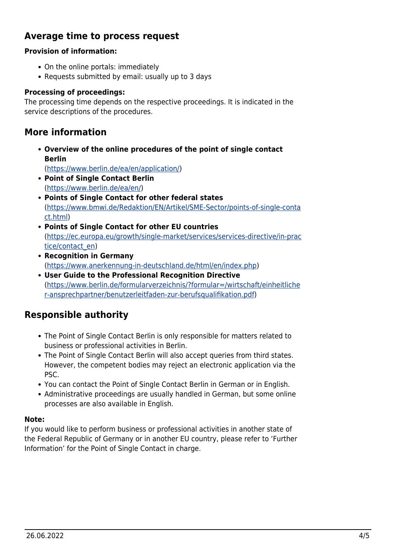## **Average time to process request**

#### **Provision of information:**

- On the online portals: immediately
- Requests submitted by email: usually up to 3 days

#### **Processing of proceedings:**

The processing time depends on the respective proceedings. It is indicated in the service descriptions of the procedures.

### <span id="page-3-1"></span>**More information**

**Overview of the online procedures of the point of single contact Berlin**

([https://www.berlin.de/ea/en/application/\)](https://www.berlin.de/ea/en/application/)

- **Point of Single Contact Berlin** ([https://www.berlin.de/ea/en/\)](https://www.berlin.de/ea/en/)
- **Points of Single Contact for other federal states** ([https://www.bmwi.de/Redaktion/EN/Artikel/SME-Sector/points-of-single-conta](https://www.bmwi.de/Redaktion/EN/Artikel/SME-Sector/points-of-single-contact.html) [ct.html\)](https://www.bmwi.de/Redaktion/EN/Artikel/SME-Sector/points-of-single-contact.html)
- **Points of Single Contact for other EU countries** ([https://ec.europa.eu/growth/single-market/services/services-directive/in-prac](https://ec.europa.eu/growth/single-market/services/services-directive/in-practice/contact_en) [tice/contact\\_en\)](https://ec.europa.eu/growth/single-market/services/services-directive/in-practice/contact_en)
- **Recognition in Germany** ([https://www.anerkennung-in-deutschland.de/html/en/index.php\)](https://www.anerkennung-in-deutschland.de/html/en/index.php)
- **User Guide to the Professional Recognition Directive** ([https://www.berlin.de/formularverzeichnis/?formular=/wirtschaft/einheitliche](https://www.berlin.de/formularverzeichnis/?formular=/wirtschaft/einheitlicher-ansprechpartner/benutzerleitfaden-zur-berufsqualifikation.pdf) [r-ansprechpartner/benutzerleitfaden-zur-berufsqualifikation.pdf](https://www.berlin.de/formularverzeichnis/?formular=/wirtschaft/einheitlicher-ansprechpartner/benutzerleitfaden-zur-berufsqualifikation.pdf))

## <span id="page-3-2"></span>**Responsible authority**

- The Point of Single Contact Berlin is only responsible for matters related to business or professional activities in Berlin.
- The Point of Single Contact Berlin will also accept queries from third states. However, the competent bodies may reject an electronic application via the PSC.
- You can contact the Point of Single Contact Berlin in German or in English.
- Administrative proceedings are usually handled in German, but some online processes are also available in English.

#### **Note:**

<span id="page-3-0"></span>If you would like to perform business or professional activities in another state of the Federal Republic of Germany or in another EU country, please refer to 'Further Information' for the Point of Single Contact in charge.